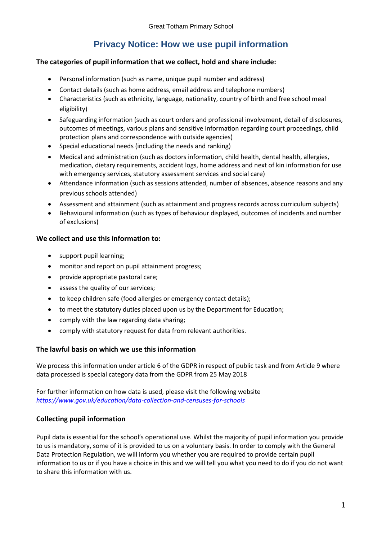# **Privacy Notice: How we use pupil information**

### **The categories of pupil information that we collect, hold and share include:**

- Personal information (such as name, unique pupil number and address)
- Contact details (such as home address, email address and telephone numbers)
- Characteristics (such as ethnicity, language, nationality, country of birth and free school meal eligibility)
- Safeguarding information (such as court orders and professional involvement, detail of disclosures, outcomes of meetings, various plans and sensitive information regarding court proceedings, child protection plans and correspondence with outside agencies)
- Special educational needs (including the needs and ranking)
- Medical and administration (such as doctors information, child health, dental health, allergies, medication, dietary requirements, accident logs, home address and next of kin information for use with emergency services, statutory assessment services and social care)
- Attendance information (such as sessions attended, number of absences, absence reasons and any previous schools attended)
- Assessment and attainment (such as attainment and progress records across curriculum subjects)
- Behavioural information (such as types of behaviour displayed, outcomes of incidents and number of exclusions)

## **We collect and use this information to:**

- support pupil learning;
- monitor and report on pupil attainment progress;
- provide appropriate pastoral care;
- assess the quality of our services;
- to keep children safe (food allergies or emergency contact details);
- to meet the statutory duties placed upon us by the Department for Education;
- comply with the law regarding data sharing;
- comply with statutory request for data from relevant authorities.

### **The lawful basis on which we use this information**

We process this information under article 6 of the GDPR in respect of public task and from Article 9 where data processed is special category data from the GDPR from 25 May 2018

For further information on how data is used, please visit the following website *<https://www.gov.uk/education/data-collection-and-censuses-for-schools>*

## **Collecting pupil information**

Pupil data is essential for the school's operational use. Whilst the majority of pupil information you provide to us is mandatory, some of it is provided to us on a voluntary basis. In order to comply with the General Data Protection Regulation, we will inform you whether you are required to provide certain pupil information to us or if you have a choice in this and we will tell you what you need to do if you do not want to share this information with us.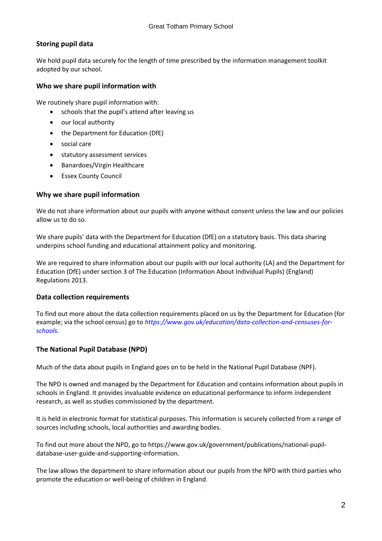## **Storing pupil data**

We hold pupil data securely for the length of time prescribed by the information management toolkit adopted by our school.

### **Who we share pupil information with**

We routinely share pupil information with:

- schools that the pupil's attend after leaving us
- our local authority
- the Department for Education (DfE)
- social care
- statutory assessment services
- Banardoes/Virgin Healthcare
- Essex County Council

## **Why we share pupil information**

We do not share information about our pupils with anyone without consent unless the law and our policies allow us to do so.

We share pupils' data with the Department for Education (DfE) on a statutory basis. This data sharing underpins school funding and educational attainment policy and monitoring.

We are required to share information about our pupils with our local authority (LA) and the Department for Education (DfE) under section 3 of The Education (Information About Individual Pupils) (England) Regulations 2013.

### **Data collection requirements**

To find out more about the data collection requirements placed on us by the Department for Education (for example; via the school census) go to *[https://www.gov.uk/education/data-collection-and-censuses-for](https://www.gov.uk/education/data-collection-and-censuses-for-schools)[schools.](https://www.gov.uk/education/data-collection-and-censuses-for-schools)*

## **The National Pupil Database (NPD)**

Much of the data about pupils in England goes on to be held in the National Pupil Database (NPF).

The NPD is owned and managed by the Department for Education and contains information about pupils in schools in England. It provides invaluable evidence on educational performance to inform independent research, as well as studies commissioned by the department.

It is held in electronic format for statistical purposes. This information is securely collected from a range of sources including schools, local authorities and awarding bodies.

To find out more about the NPD, go to [https://www.gov.uk/government/publications/national-pupil](https://www.gov.uk/government/publications/national-pupil-database-user-guide-and-supporting-information)[database-user-guide-and-supporting-information.](https://www.gov.uk/government/publications/national-pupil-database-user-guide-and-supporting-information)

The law allows the department to share information about our pupils from the NPD with third parties who promote the education or well-being of children in England.